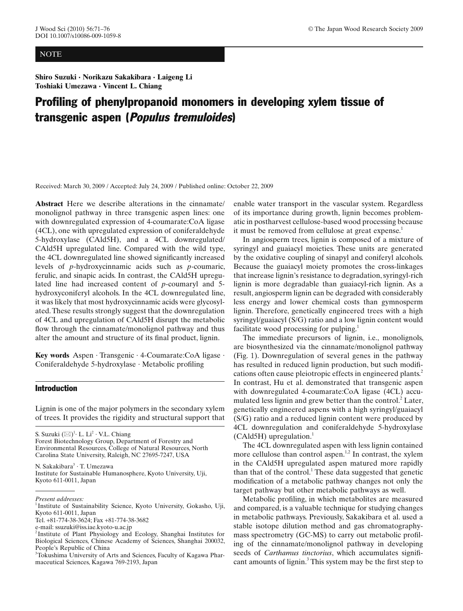## NOTE

**Shiro Suzuki · Norikazu Sakakibara · Laigeng Li Toshiaki Umezawa · Vincent L. Chiang**

# Profiling of phenylpropanoid monomers in developing xylem tissue of transgenic aspen (Populus tremuloides)

Received: March 30, 2009 / Accepted: July 24, 2009 / Published online: October 22, 2009

**Abstract** Here we describe alterations in the cinnamate/ monolignol pathway in three transgenic aspen lines: one with downregulated expression of 4-coumarate:CoA ligase (4CL), one with upregulated expression of coniferaldehyde 5-hydroxylase (CAld5H), and a 4CL downregulated/ CAld5H upregulated line. Compared with the wild type, the 4CL downregulated line showed significantly increased levels of *p*-hydroxycinnamic acids such as *p*-coumaric, ferulic, and sinapic acids. In contrast, the CAld5H upregulated line had increased content of *p*-coumaryl and 5 hydroxyconiferyl alcohols. In the 4CL downregulated line, it was likely that most hydroxycinnamic acids were glycosylated. These results strongly suggest that the downregulation of 4CL and upregulation of CAld5H disrupt the metabolic flow through the cinnamate/monolignol pathway and thus alter the amount and structure of its final product, lignin.

**Key words** Aspen · Transgenic · 4-Coumarate:CoA ligase · Coniferaldehyde  $5$ -hydroxylase  $\cdot$  Metabolic profiling

### Introduction

Lignin is one of the major polymers in the secondary xylem of trees. It provides the rigidity and structural support that

S. Suzuki  $(\boxtimes)^1$ · L. Li<sup>2</sup> · V.L. Chiang Forest Biotechnology Group, Department of Forestry and Environmental Resources, College of Natural Resources, North Carolina State University, Raleigh, NC 27695-7247, USA

N. Sakakibara<sup>3</sup> · T. Umezawa Institute for Sustainable Humanosphere, Kyoto University, Uji, Kyoto 611-0011, Japan

enable water transport in the vascular system. Regardless of its importance during growth, lignin becomes problematic in postharvest cellulose-based wood processing because it must be removed from cellulose at great expense.<sup>1</sup>

In angiosperm trees, lignin is composed of a mixture of syringyl and guaiacyl moieties. These units are generated by the oxidative coupling of sinapyl and coniferyl alcohols. Because the guaiacyl moiety promotes the cross-linkages that increase lignin's resistance to degradation, syringyl-rich lignin is more degradable than guaiacyl-rich lignin. As a result, angiosperm lignin can be degraded with considerably less energy and lower chemical costs than gymnosperm lignin. Therefore, genetically engineered trees with a high syringyl/guaiacyl (S/G) ratio and a low lignin content would facilitate wood processing for pulping.<sup>1</sup>

The immediate precursors of lignin, i.e., monolignols, are biosynthesized via the cinnamate/monolignol pathway [\(Fig. 1\)](#page-1-0). Downregulation of several genes in the pathway has resulted in reduced lignin production, but such modifications often cause pleiotropic effects in engineered plants.<sup>2</sup> In contrast, Hu et al. demonstrated that transgenic aspen with downregulated 4-coumarate:CoA ligase (4CL) accu-mulated less lignin and grew better than the control.<sup>[2](#page-5-0)</sup> Later, gen etically engineered aspens with a high syringyl/guaiacyl (S/G) ratio and a reduced lignin content were produced by 4CL downregulation and coniferaldehyde 5-hydroxylase  $(CAld5H)$  upregulation.<sup>1</sup>

The 4CL downregulated aspen with less lignin contained more cellulose than control aspen.<sup>1,2</sup> In contrast, the xylem in the CAld5H upregulated aspen matured more rapidly than that of the control.<sup>1</sup> These data suggested that genetic modification of a metabolic pathway changes not only the target pathway but other metabolic pathways as well.

Metabolic profiling, in which metabolites are measured and compared, is a valuable technique for studying changes in metabolic pathways. Previously, Sakakibara et al. used a stable isotope dilution method and gas chromatographymass spectrometry (GC-MS) to carry out metabolic profiling of the cinnamate/monolignol pathway in developing seeds of *Carthamus tinctorius*, which accumulates significant amounts of ligni[n.](#page-5-0)<sup>3</sup> This system may be the first step to

*Present addresses:*

<sup>&</sup>lt;sup>1</sup> Institute of Sustainability Science, Kyoto University, Gokasho, Uji, Kyoto 611-0011, Japan

Tel. +81-774-38-3624; Fax +81-774-38-3682

e-mail: ssuzuki@iss.iae.kyoto-u.ac.jp

<sup>&</sup>lt;sup>2</sup> Institute of Plant Physiology and Ecology, Shanghai Institutes for Biological Sciences, Chinese Academy of Sciences, Shanghai 200032, People's Republic of China

<sup>&</sup>lt;sup>3</sup>Tokushima University of Arts and Sciences, Faculty of Kagawa Pharmaceutical Sciences, Kagawa 769-2193, Japan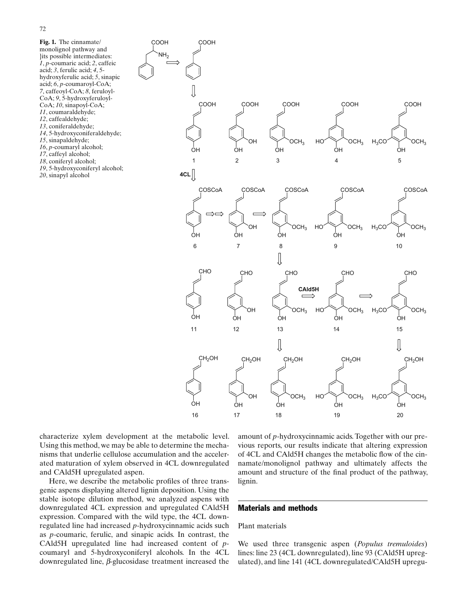<span id="page-1-0"></span>**Fig. 1.** The cinnamate/ monolignol pathway and }its possible intermediates: *1*, *p*-coumaric acid; *2*, caffeic acid; *3*, ferulic acid; *4*, 5 hydroxyferulic acid; *5*, sinapic acid; *6*, *p*-coumaroyl-CoA; *7*, caffeoyl-CoA; *8*, feruloyl-CoA; *9*, 5-hydroxyferuloyl-CoA; *10*, sinapoyl-CoA; *11*, coumaraldehyde; *12*, caffealdehyde; *13*, coniferaldehyde; *14*, 5-hydroxyconiferaldehyde; *15*, sinapaldehyde; *16*, *p*-coumaryl alcohol; *17*, caffeyl alcohol; *18*, coniferyl alcohol; *19*, 5-hydroxyconiferyl alcohol; *20*, sinapyl alcohol



characterize xylem development at the metabolic level. Using this method, we may be able to determine the mechanisms that underlie cellulose accumulation and the accelerated maturation of xylem observed in 4CL downregulated and CAld5H upregulated aspen.

Here, we describe the metabolic profiles of three transgenic aspens displaying altered lignin deposition. Using the stable isotope dilution method, we analyzed aspens with downregulated 4CL expression and upregulated CAld5H expression. Compared with the wild type, the 4CL downregulated line had increased *p*-hydroxycinnamic acids such as *p*-coumaric, ferulic, and sinapic acids. In contrast, the CAld5H upregulated line had increased content of *p*coumaryl and 5-hydroxyconiferyl alcohols. In the 4CL downregulated line, *β*-glucosidase treatment increased the

amount of *p-*hydroxycinnamic acids. Together with our previous reports, our results indicate that altering expression of 4CL and CAld5H changes the metabolic flow of the cinnamate/monolignol pathway and ultimately affects the amount and structure of the final product of the pathway, lignin.

### Materials and methods

## Plant materials

We used three transgenic aspen (*Populus tremuloides*) lines: line 23 (4CL downregulated), line 93 (CAld5H upregulated), and line 141 (4CL downregulated/CAld5H upregu-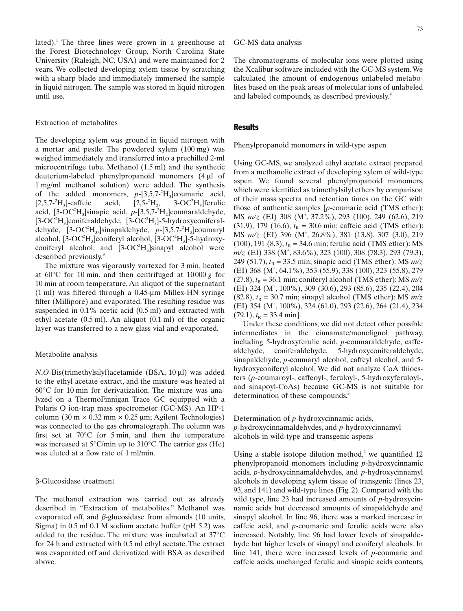lated).<sup>1</sup> The three lines were grown in a greenhouse at the Forest Biotechnology Group, North Carolina State University (Raleigh, NC, USA) and were maintained for 2 years. We collected developing xylem tissue by scratching with a sharp blade and immediately immersed the sample in liquid nitrogen. The sample was stored in liquid nitrogen until use.

#### Extraction of metabolites

The developing xylem was ground in liquid nitrogen with a mortar and pestle. The powdered xylem (100 mg) was weighed immediately and transferred into a prechilled 2-ml microcentrifuge tube. Methanol (1.5 ml) and the synthetic deuterium-labeled phenylpropanoid monomers (4 μl of 1 mg/ml methanol solution) were added. The synthesis of the added monomers,  $p-[3,5,7^{-2}H_3]$ coumaric acid,  $[2,5,7^{-2}H_3]$ -caffeic acid,  $[2,5^{-2}$  $H_2$ , 3-OC<sup>2</sup> $H_3$ ] ferulic acid,  $[3\text{-}OC^2H_3]$ sinapic acid,  $p-[3,5,7^{-2}H_2]$ coumaraldehyde,  $[3\text{-}OC^2H_3]$ coniferaldehyde,  $[3\text{-}OC^2H_3]$ -5-hydroxyconiferaldehyde,  $[3\text{-}OC^2H_3]$ sinapaldehyde,  $p-[3,5,7^2H_3]$ coumaryl alcohol,  $[3\text{-}OC^2H_3]$ coniferyl alcohol,  $[3\text{-}OC^2H_3]$ -5-hydroxyconiferyl alcohol, and  $[3\text{-}OC^2H_3]sinapy$  alcohol were described previously.<sup>3</sup>

The mixture was vigorously vortexed for 3 min, heated at 60°C for 10 min, and then centrifuged at 10 000 *g* for 10 min at room temperature. An aliquot of the supernatant (1 ml) was filtered through a  $0.45$ -µm Millex-HN syringe filter (Millipore) and evaporated. The resulting residue was suspended in 0.1% acetic acid (0.5 ml) and extracted with ethyl acetate (0.5 ml). An aliquot (0.1 ml) of the organic layer was transferred to a new glass vial and evaporated.

## Metabolite analysis

*N*,*O*-Bis(trimethylsilyl)acetamide (BSA, 10 μl) was added to the ethyl acetate extract, and the mixture was heated at 60°C for 10 min for derivatization. The mixture was analyzed on a ThermoFinnigan Trace GC equipped with a Polaris Q ion-trap mass spectrometer (GC-MS). An HP-1 column (30 m  $\times$  0.32 mm  $\times$  0.25 µm; Agilent Technologies) was connected to the gas chromatograph. The column was first set at  $70^{\circ}$ C for 5 min, and then the temperature was increased at 5°C/min up to 310°C. The carrier gas (He) was eluted at a flow rate of 1 ml/min.

#### β-Glucosidase treatment

The methanol extraction was carried out as already described in "Extraction of metabolites." Methanol was evaporated off, and *β*-glucosidase from almonds (10 units, Sigma) in 0.5 ml 0.1 M sodium acetate buffer (pH 5.2) was added to the residue. The mixture was incubated at 37°C for 24 h and extracted with 0.5 ml ethyl acetate. The extract was evaporated off and derivatized with BSA as described above.

GC-MS data analysis

The chromatograms of molecular ions were plotted using the Xcalibur software included with the GC-MS system. We calculated the amount of endogenous unlabeled metabolites based on the peak areas of molecular ions of unlabeled and labeled compounds, as described previousl[y.4](#page-5-0)

## **Results**

Phenylpropanoid monomers in wild-type aspen

Using GC-MS, we analyzed ethyl acetate extract prepared from a methanolic extract of developing xylem of wild-type aspen. We found several phenylpropanoid monomers, which were identified as trimethylsilyl ethers by comparison of their mass spectra and retention times on the GC with those of authentic samples [*p*-coumaric acid (TMS ether): MS *m/z* (EI) 308 (M<sup>+</sup> , 37.2%), 293 (100), 249 (62.6), 219 (31.9), 179 (16.6),  $t_R = 30.6$  min; caffeic acid (TMS ether): MS *m/z* (EI) 396 (M<sup>+</sup> , 26.8%), 381 (13.8), 307 (3.0), 219 (100), 191 (8.3),  $t_R = 34.6$  min; ferulic acid (TMS ether): MS *m/z* (EI) 338 (M<sup>+</sup> , 83.6%), 323 (100), 308 (78.3), 293 (79.3), 249 (51.7),  $t_R = 33.5$  min; sinapic acid (TMS ether): MS  $m/z$ (EI) 368 (M<sup>+</sup> , 64.1%), 353 (55.9), 338 (100), 323 (55.8), 279  $(27.8)$ ,  $t<sub>R</sub> = 36.1$  min; coniferyl alcohol (TMS ether): MS  $m/z$ (EI) 324 (M<sup>+</sup> , 100%), 309 (30.6), 293 (85.6), 235 (22.4), 204 (82.8),  $t<sub>R</sub> = 30.7$  min; sinapyl alcohol (TMS ether): MS  $m/z$ (EI) 354 (M<sup>+</sup> , 100%), 324 (61.0), 293 (22.6), 264 (21.4), 234  $(79.1)$ ,  $t<sub>R</sub> = 33.4$  min].

Under these conditions, we did not detect other possible intermediates in the cinnamate/monolignol pathway, including 5-hydroxyferulic acid, *p*-coumaraldehyde, caffealdehyde, coniferaldehyde, 5-hydroxyconiferaldehyde, sinapaldehyde, *p*-coumaryl alcohol, caffeyl alcohol, and 5 hydroxyconiferyl alcohol. We did not analyze CoA thioesters (*p*-coumaroyl-, caffeoyl-, feruloyl-, 5-hydroxyferuloyl-, and sinapoyl-CoAs) because GC-MS is not suitable for determination of these compounds.<sup>[3](#page-5-0)</sup>

Determination of *p*-hydroxycinnamic acids, *p*-hydroxycinnamaldehydes, and *p*-hydroxycinnamyl alcohols in wild-type and transgenic aspens

Using a stable isotope dilution method,<sup>3</sup> we quantified  $12$ phenylpropanoid monomers including *p*-hydroxycinnamic acids, *p*-hydroxycinnamaldehydes, and *p*-hydroxycinnamyl alcohols in developing xylem tissue of transgenic (lines 23, 93, and 141) and wild-type lines [\(Fig. 2\)](#page-3-0). Compared with the wild type, line 23 had increased amounts of *p*-hydroxycinnamic acids but decreased amounts of sinapaldehyde and sinapyl alcohol. In line 96, there was a marked increase in caffeic acid, and *p*-coumaric and ferulic acids were also increased. Notably, line 96 had lower levels of sinapaldehyde but higher levels of sinapyl and coniferyl alcohols. In line 141, there were increased levels of *p*-coumaric and caffeic acids, unchanged ferulic and sinapic acids contents,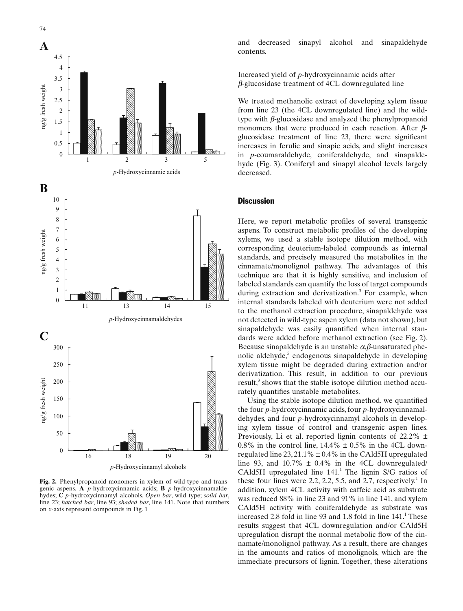<span id="page-3-0"></span>

**Fig. 2.** Phenylpropanoid monomers in xylem of wild-type and transgenic aspens. **A** *p*-hydroxycinnamic acids; **B** *p*-hydroxycinnamaldehydes; **C** *p*-hydroxycinnamyl alcohols. *Open bar*, wild type; *solid bar*, line 23; *hatched bar*, line 93; *shaded bar*, line 141. Note that numbers on *x*-axis represent compounds i[n Fig. 1](#page-1-0)

and decreased sinapyl alcohol and sinapaldehyde contents.

Increased yield of *p*-hydroxycinnamic acids after *β*-glucosidase treatment of 4CL downregulated line

We treated methanolic extract of developing xylem tissue from line 23 (the 4CL downregulated line) and the wildtype with *β*-glucosidase and analyzed the phenylpropanoid monomers that were produced in each reaction. After *β*glucosidase treatment of line 23, there were significant increases in ferulic and sinapic acids, and slight increases in *p*-coumaraldehyde, coniferaldehyde, and sinapaldehyde [\(Fig. 3\)](#page-4-0). Coniferyl and sinapyl alcohol levels largely decreased.

#### **Discussion**

Here, we report metabolic profiles of several transgenic aspens. To construct metabolic profiles of the developing xylems, we used a stable isotope dilution method, with corresponding deuterium-labeled compounds as internal standards, and precisely measured the metabolites in the cinnamate/monolignol pathway. The advantages of this technique are that it is highly sensitive, and inclusion of labeled standards can quantify the loss of target compounds during extraction and derivatization.<sup>3</sup> For example, when internal standards labeled with deuterium were not added to the methanol extraction procedure, sinapaldehyde was not detected in wild-type aspen xylem (data not shown), but sinapaldehyde was easily quantified when internal standards were added before methanol extraction (see Fig. 2). Because sinapaldehyde is an unstable *α*,*β*-unsaturated phe-nolic aldehyde,<sup>[5](#page-5-0)</sup> endogenous sinapaldehyde in developing xylem tissue might be degraded during extraction and/or derivatization. This result, in addition to our previous result, $3$  shows that the stable isotope dilution method accurately quantifies unstable metabolites.

Using the stable isotope dilution method, we quantified the four *p*-hydroxycinnamic acids, four *p*-hydroxycinnamaldehydes, and four *p*-hydroxycinnamyl alcohols in developing xylem tissue of control and transgenic aspen lines. Previously, Li et al. reported lignin contents of 22.2% ± 0.8% in the control line,  $14.4\% \pm 0.5\%$  in the 4CL downregulated line  $23, 21.1\% \pm 0.4\%$  in the CAld5H upregulated line 93, and  $10.7\% \pm 0.4\%$  in the 4CL downregulated/ CAld5H upregulated line  $141<sup>1</sup>$ . The lignin S/G ratios of these four lines were 2.2, 2.2, 5.5, and 2.7, respectively.<sup>1</sup> In addition, xylem 4CL activity with caffeic acid as substrate was reduced 88% in line 23 and 91% in line 141, and xylem CAld5H activity with coniferaldehyde as substrate was increased 2.8 fold in line 93 and 1.8 fold in line  $141<sup>1</sup>$ . [T](#page-5-0)hese results suggest that 4CL downregulation and/or CAld5H upregulation disrupt the normal metabolic flow of the cinnamate/monolignol pathway. As a result, there are changes in the amounts and ratios of monolignols, which are the immediate precursors of lignin. Together, these alterations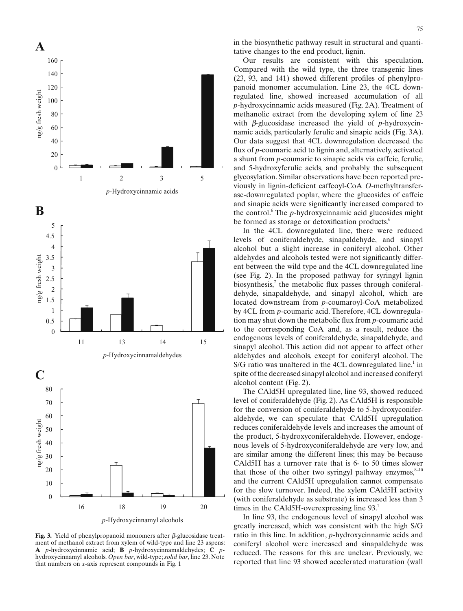<span id="page-4-0"></span>

*p*-Hydroxycinnamyl alcohols

**Fig. 3.** Yield of phenylpropanoid monomers after *β*-glucosidase treatment of methanol extract from xylem of wild-type and line 23 aspens: **A** *p*-hydroxycinnamic acid; **B** *p*-hydroxycinnamaldehydes; **C** *p*hydroxycinnamyl alcohols. *Open bar*, wild-type; *solid bar*, line 23. Note that numbers on *x*-axis represent compounds in [Fig. 1](#page-1-0)

in the biosynthetic pathway result in structural and quantitative changes to the end product, lignin.

Our results are consistent with this speculation. Compared with the wild type, the three transgenic lines  $(23, 93, and 141)$  showed different profiles of phenylpropanoid monomer accumulation. Line 23, the 4CL downregulated line, showed increased accumulation of all *p*-hydroxycinnamic acids measured [\(Fig. 2A\)](#page-3-0). Treatment of methanolic extract from the developing xylem of line 23 with *β*-glucosidase increased the yield of *p*-hydroxycinnamic acids, particularly ferulic and sinapic acids (Fig. 3A). Our data suggest that 4CL downregulation decreased the flux of *p*-coumaric acid to lignin and, alternatively, activated a shunt from *p*-coumaric to sinapic acids via caffeic, ferulic, and 5-hydroxyferulic acids, and probably the subsequent glycosylation. Similar observations have been reported previously in lignin-deficient caffeoyl-CoA O-methyltransferase-downregulated poplar, where the glucosides of caffeic and sinapic acids were significantly increased compared to the control.<sup>6</sup>  [T](#page-5-0)he *p-*hydroxycinnamic acid glucosides might be formed as storage or detoxification products.<sup>6</sup>

In the 4CL downregulated line, there were reduced levels of coniferaldehyde, sinapaldehyde, and sinapyl alcohol but a slight increase in coniferyl alcohol. Other aldehydes and alcohols tested were not significantly different between the wild type and the 4CL downregulated line (see [Fig. 2\)](#page-3-0). In the proposed pathway for syringyl lignin biosynthesis, $\alpha$  the metabolic flux passes through coniferaldehyde, sinapaldehyde, and sinapyl alcohol, which are located downstream from *p*-coumaroyl-CoA metabolized by 4CL from *p*-coumaric acid. Therefore, 4CL downregulation may shut down the metabolic flux from *p*-coumaric acid to the corresponding CoA and, as a result, reduce the endogenous levels of coniferaldehyde, sinapaldehyde, and sinapyl alcohol. This action did not appear to affect other aldehydes and alcohols, except for coniferyl alcohol. The  $S/G$  ratio was unaltered in the 4CL downregulated line,<sup>1</sup> in spite of the decreased sinapyl alcohol and increased coniferyl alcohol content [\(Fig. 2\)](#page-3-0).

The CAld5H upregulated line, line 93, showed reduced level of coniferaldehyde [\(Fig. 2\)](#page-3-0). As CAld5H is responsible for the conversion of coniferaldehyde to 5-hydroxyconiferaldehyde, we can speculate that CAld5H upregulation reduces coniferaldehyde levels and increases the amount of the product, 5-hydroxyconiferaldehyde. However, endogenous levels of 5-hydroxyconiferaldehyde are very low, and are similar among the different lines; this may be because CAld5H has a turnover rate that is 6- to 50 times slower that those of the other two syringyl pathway enzymes, $8-10$ and the current CAld5H upregulation cannot compensate for the slow turnover. Indeed, the xylem CAld5H activity (with coniferaldehyde as substrate) is increased less than 3 times in the CAld5H-overexpressing line 9[3.](#page-5-0)<sup>1</sup>

In line 93, the endogenous level of sinapyl alcohol was greatly increased, which was consistent with the high S/G ratio in this line. In addition, *p*-hydroxycinnamic acids and coniferyl alcohol were increased and sinapaldehyde was reduced. The reasons for this are unclear. Previously, we reported that line 93 showed accelerated maturation (wall